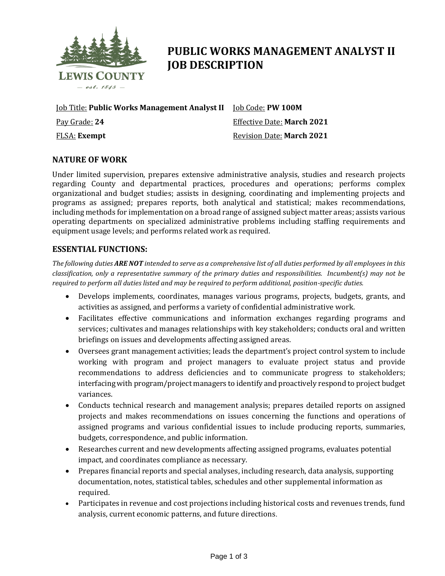

# **PUBLIC WORKS MANAGEMENT ANALYST II JOB DESCRIPTION**

Job Title: **Public Works Management Analyst II** Job Code: **PW 100M** Pay Grade: **24** FLSA: **Exempt**

Effective Date: **March 2021** Revision Date: **March 2021**

## **NATURE OF WORK**

Under limited supervision, prepares extensive administrative analysis, studies and research projects regarding County and departmental practices, procedures and operations; performs complex organizational and budget studies; assists in designing, coordinating and implementing projects and programs as assigned; prepares reports, both analytical and statistical; makes recommendations, including methods for implementation on a broad range of assigned subject matter areas; assists various operating departments on specialized administrative problems including staffing requirements and equipment usage levels; and performs related work as required.

#### **ESSENTIAL FUNCTIONS:**

*The following duties ARE NOT intended to serve as a comprehensive list of all duties performed by all employees in this classification, only a representative summary of the primary duties and responsibilities. Incumbent(s) may not be required to perform all duties listed and may be required to perform additional, position-specific duties.*

- Develops implements, coordinates, manages various programs, projects, budgets, grants, and activities as assigned, and performs a variety of confidential administrative work.
- Facilitates effective communications and information exchanges regarding programs and services; cultivates and manages relationships with key stakeholders; conducts oral and written briefings on issues and developments affecting assigned areas.
- Oversees grant management activities; leads the department's project control system to include working with program and project managers to evaluate project status and provide recommendations to address deficiencies and to communicate progress to stakeholders; interfacing with program/project managers to identify and proactively respond to project budget variances.
- Conducts technical research and management analysis; prepares detailed reports on assigned projects and makes recommendations on issues concerning the functions and operations of assigned programs and various confidential issues to include producing reports, summaries, budgets, correspondence, and public information.
- Researches current and new developments affecting assigned programs, evaluates potential impact, and coordinates compliance as necessary.
- Prepares financial reports and special analyses, including research, data analysis, supporting documentation, notes, statistical tables, schedules and other supplemental information as required.
- Participates in revenue and cost projections including historical costs and revenues trends, fund analysis, current economic patterns, and future directions.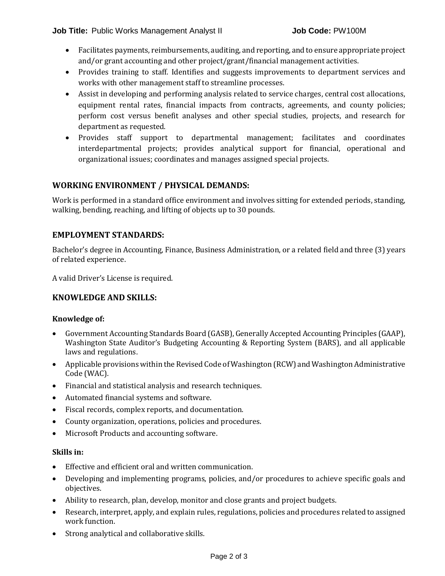- Facilitates payments, reimbursements, auditing, and reporting, and to ensure appropriate project and/or grant accounting and other project/grant/financial management activities.
- Provides training to staff. Identifies and suggests improvements to department services and works with other management staff to streamline processes.
- Assist in developing and performing analysis related to service charges, central cost allocations, equipment rental rates, financial impacts from contracts, agreements, and county policies; perform cost versus benefit analyses and other special studies, projects, and research for department as requested.
- Provides staff support to departmental management; facilitates and coordinates interdepartmental projects; provides analytical support for financial, operational and organizational issues; coordinates and manages assigned special projects.

## **WORKING ENVIRONMENT / PHYSICAL DEMANDS:**

Work is performed in a standard office environment and involves sitting for extended periods, standing, walking, bending, reaching, and lifting of objects up to 30 pounds.

## **EMPLOYMENT STANDARDS:**

Bachelor's degree in Accounting, Finance, Business Administration, or a related field and three (3) years of related experience.

A valid Driver's License is required.

## **KNOWLEDGE AND SKILLS:**

#### **Knowledge of:**

- Government Accounting Standards Board (GASB), Generally Accepted Accounting Principles (GAAP), Washington State Auditor's Budgeting Accounting & Reporting System (BARS), and all applicable laws and regulations.
- Applicable provisions within the Revised Code of Washington (RCW) and Washington Administrative Code (WAC).
- Financial and statistical analysis and research techniques.
- Automated financial systems and software.
- Fiscal records, complex reports, and documentation.
- County organization, operations, policies and procedures.
- Microsoft Products and accounting software.

#### **Skills in:**

- Effective and efficient oral and written communication.
- Developing and implementing programs, policies, and/or procedures to achieve specific goals and objectives.
- Ability to research, plan, develop, monitor and close grants and project budgets.
- Research, interpret, apply, and explain rules, regulations, policies and procedures related to assigned work function.
- Strong analytical and collaborative skills.